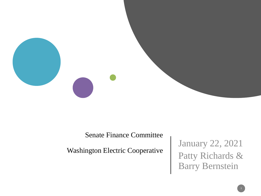

Senate Finance Committee

Washington Electric Cooperative

January 22, 2021 Patty Richards & Barry Bernstein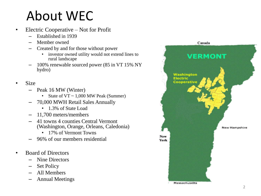### About WEC

- Electric Cooperative Not for Profit
	- Established in 1939
	- Member owned
	- Created by and for those without power
		- investor owned utility would not extend lines to rural landscape
	- 100% renewable sourced power (85 in VT 15% NY hydro)
- Size
	- Peak 16 MW (Winter)
		- State of  $VT \sim 1,000$  MW Peak (Summer)
	- 70,000 MWH Retail Sales Annually
		- 1.3% of State Load
	- 11,700 meters/members
	- 41 towns 4 counties Central Vermont (Washington, Orange, Orleans, Caledonia)
		- 17% of Vermont Towns
	- 96% of our members residential
- Board of Directors
	- Nine Directors
	- Set Policy
	- All Members
	- Annual Meetings

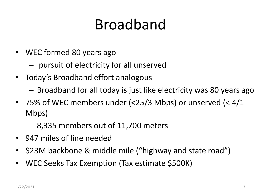## Broadband

- WEC formed 80 years ago
	- pursuit of electricity for all unserved
- Today's Broadband effort analogous
	- Broadband for all today is just like electricity was 80 years ago
- 75% of WEC members under (<25/3 Mbps) or unserved (< 4/1 Mbps)
	- 8,335 members out of 11,700 meters
- 947 miles of line needed
- \$23M backbone & middle mile ("highway and state road")
- WEC Seeks Tax Exemption (Tax estimate \$500K)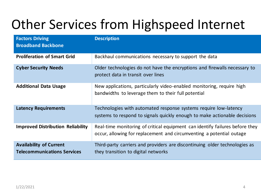### Other Services from Highspeed Internet

| <b>Factors Driving</b><br><b>Broadband Backbone</b>                  | <b>Description</b>                                                                                                                                   |
|----------------------------------------------------------------------|------------------------------------------------------------------------------------------------------------------------------------------------------|
| <b>Proliferation of Smart Grid</b>                                   | Backhaul communications necessary to support the data                                                                                                |
| <b>Cyber Security Needs</b>                                          | Older technologies do not have the encryptions and firewalls necessary to<br>protect data in transit over lines                                      |
| <b>Additional Data Usage</b>                                         | New applications, particularly video-enabled monitoring, require high<br>bandwidths to leverage them to their full potential                         |
| <b>Latency Requirements</b>                                          | Technologies with automated response systems require low-latency<br>systems to respond to signals quickly enough to make actionable decisions        |
| <b>Improved Distribution Reliability</b>                             | Real-time monitoring of critical equipment can identify failures before they<br>occur, allowing for replacement and circumventing a potential outage |
| <b>Availability of Current</b><br><b>Telecommunications Services</b> | Third-party carriers and providers are discontinuing older technologies as<br>they transition to digital networks                                    |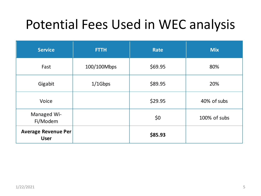#### Potential Fees Used in WEC analysis

| <b>Service</b>                            | <b>FTTH</b> | Rate    | <b>Mix</b>   |
|-------------------------------------------|-------------|---------|--------------|
| Fast                                      | 100/100Mbps | \$69.95 | 80%          |
| Gigabit                                   | $1/1$ Gbps  | \$89.95 | 20%          |
| Voice                                     |             | \$29.95 | 40% of subs  |
| Managed Wi-<br>Fi/Modem                   |             | \$0     | 100% of subs |
| <b>Average Revenue Per</b><br><b>User</b> |             | \$85.93 |              |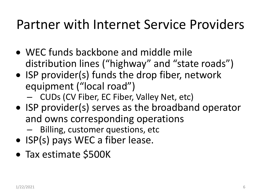#### Partner with Internet Service Providers

- WEC funds backbone and middle mile distribution lines ("highway" and "state roads")
- ISP provider(s) funds the drop fiber, network equipment ("local road")
	- CUDs (CV Fiber, EC Fiber, Valley Net, etc)
- ISP provider(s) serves as the broadband operator and owns corresponding operations
	- Billing, customer questions, etc
- ISP(s) pays WEC a fiber lease.
- Tax estimate \$500K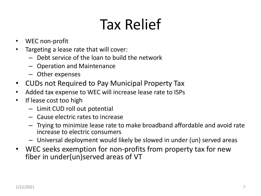# Tax Relief

- WEC non-profit
- Targeting a lease rate that will cover:
	- Debt service of the loan to build the network
	- Operation and Maintenance
	- Other expenses
- CUDs not Required to Pay Municipal Property Tax
- Added tax expense to WEC will increase lease rate to ISPs
- If lease cost too high
	- Limit CUD roll out potential
	- Cause electric rates to increase
	- Trying to minimize lease rate to make broadband affordable and avoid rate increase to electric consumers
	- Universal deployment would likely be slowed in under (un) served areas
- WEC seeks exemption for non-profits from property tax for new fiber in under(un)served areas of VT